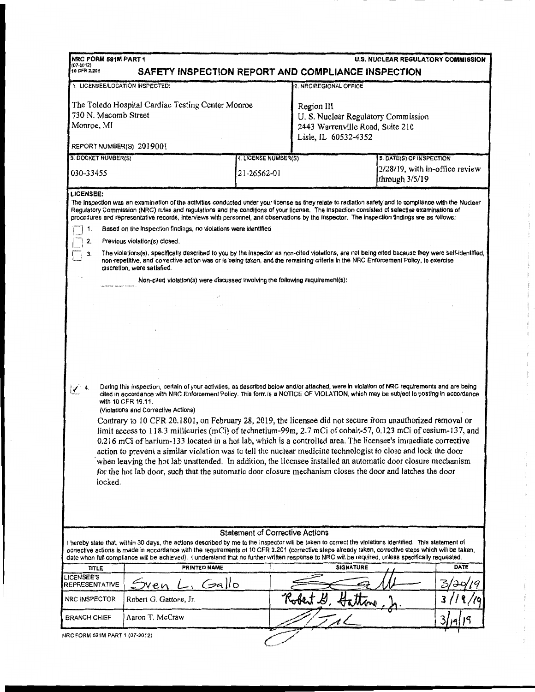| NRC FORM 591M PART 1<br><b>U.S. NUCLEAR REGULATORY COMMISSION</b><br>(07-2012)<br>10 CFR 2.201<br>SAFETY INSPECTION REPORT AND COMPLIANCE INSPECTION                                                                                                                                                                                                                                                                                                                                                                                                                                          |                        |                                     |                                                                                                              |  |             |  |  |  |
|-----------------------------------------------------------------------------------------------------------------------------------------------------------------------------------------------------------------------------------------------------------------------------------------------------------------------------------------------------------------------------------------------------------------------------------------------------------------------------------------------------------------------------------------------------------------------------------------------|------------------------|-------------------------------------|--------------------------------------------------------------------------------------------------------------|--|-------------|--|--|--|
| 1. LICENSEE/LOCATION INSPECTED:                                                                                                                                                                                                                                                                                                                                                                                                                                                                                                                                                               |                        |                                     | 2. NRC/REGIONAL OFFICE                                                                                       |  |             |  |  |  |
| The Toledo Hospital Cardiac Testing Center Monroe<br>730 N. Macomb Street<br>Monroe, MI                                                                                                                                                                                                                                                                                                                                                                                                                                                                                                       |                        |                                     | Region III<br>U.S. Nuclear Regulatory Commission<br>2443 Warrenville Road, Suite 210<br>Lisle, IL 60532-4352 |  |             |  |  |  |
| REPORT NUMBER(S) 2019001                                                                                                                                                                                                                                                                                                                                                                                                                                                                                                                                                                      |                        |                                     |                                                                                                              |  |             |  |  |  |
| 3. DOCKET NUMBER(S)<br>030-33455                                                                                                                                                                                                                                                                                                                                                                                                                                                                                                                                                              |                        | 4. LICENSE NUMBER(S)<br>21-26562-01 | 5. DATE(S) OF INSPECTION<br>2/28/19, with in-office review                                                   |  |             |  |  |  |
|                                                                                                                                                                                                                                                                                                                                                                                                                                                                                                                                                                                               |                        |                                     | through 3/5/19                                                                                               |  |             |  |  |  |
| LICENSEE:<br>The inspection was an examination of the activities conducted under your license as they relate to radiation safety and to compliance with the Nuclear<br>Regulatory Commission (NRC) rules and regulations and the conditions of your license. The inspection consisted of selective examinations of<br>procedures and representative records, interviews with personnel, and observations by the inspector. The inspection findings are as follows:                                                                                                                            |                        |                                     |                                                                                                              |  |             |  |  |  |
| Based on the inspection findings, no violations were identified<br>1.                                                                                                                                                                                                                                                                                                                                                                                                                                                                                                                         |                        |                                     |                                                                                                              |  |             |  |  |  |
| 2.<br>Previous violation(s) closed.<br>The violations(s), specifically described to you by the inspector as non-cited violations, are not being cited because they were self-identified,<br>З.<br>non-repetitive, and corrective action was or is being taken, and the remaining criteria in the NRC Enforcement Policy, to exercise<br>discretion, were satisfied.                                                                                                                                                                                                                           |                        |                                     |                                                                                                              |  |             |  |  |  |
| Non-cited violation(s) were discussed involving the following requirement(s):                                                                                                                                                                                                                                                                                                                                                                                                                                                                                                                 |                        |                                     |                                                                                                              |  |             |  |  |  |
|                                                                                                                                                                                                                                                                                                                                                                                                                                                                                                                                                                                               |                        |                                     |                                                                                                              |  |             |  |  |  |
|                                                                                                                                                                                                                                                                                                                                                                                                                                                                                                                                                                                               |                        |                                     |                                                                                                              |  |             |  |  |  |
|                                                                                                                                                                                                                                                                                                                                                                                                                                                                                                                                                                                               |                        |                                     |                                                                                                              |  |             |  |  |  |
|                                                                                                                                                                                                                                                                                                                                                                                                                                                                                                                                                                                               |                        |                                     |                                                                                                              |  |             |  |  |  |
|                                                                                                                                                                                                                                                                                                                                                                                                                                                                                                                                                                                               |                        |                                     |                                                                                                              |  |             |  |  |  |
|                                                                                                                                                                                                                                                                                                                                                                                                                                                                                                                                                                                               |                        |                                     |                                                                                                              |  |             |  |  |  |
| During this inspection, certain of your activities, as described below and/or attached, were in violation of NRC requirements and are being<br>$\sqrt{}$ 4.<br>cited in accordance with NRC Enforcement Policy. This form is a NOTICE OF VIOLATION, which may be subject to posting in accordance<br>with 10 CFR 19.11.<br>(Violations and Corrective Actions)<br>Contrary to 10 CFR 20.1801, on February 28, 2019, the licensee did not secure from unauthorized removal or<br>limit access to 118.3 millicuries (mCi) of technetium-99m, 2.7 mCi of cobalt-57, 0.123 mCi of cesium-137, and |                        |                                     |                                                                                                              |  |             |  |  |  |
| 0.216 mCi of barium-133 located in a hot lab, which is a controlled area. The licensee's immediate corrective                                                                                                                                                                                                                                                                                                                                                                                                                                                                                 |                        |                                     |                                                                                                              |  |             |  |  |  |
| action to prevent a similar violation was to tell the nuclear medicine technologist to close and lock the door<br>when leaving the hot lab unattended. In addition, the licensee installed an automatic door closure mechanism<br>for the hot lab door, such that the automatic door closure mechanism closes the door and latches the door<br>locked.                                                                                                                                                                                                                                        |                        |                                     |                                                                                                              |  |             |  |  |  |
|                                                                                                                                                                                                                                                                                                                                                                                                                                                                                                                                                                                               |                        |                                     |                                                                                                              |  |             |  |  |  |
| <b>Statement of Corrective Actions</b>                                                                                                                                                                                                                                                                                                                                                                                                                                                                                                                                                        |                        |                                     |                                                                                                              |  |             |  |  |  |
| I hereby state that, within 30 days, the actions described by me to the Inspector will be taken to correct the violations identified. This statement of<br>corrective actions is made in accordance with the requirements of 10 CFR 2.201 (corrective steps already taken, corrective steps which will be taken,<br>date when full compliance will be achieved). I understand that no further written response to NRC will be required, unless specifically requested.                                                                                                                        |                        |                                     |                                                                                                              |  |             |  |  |  |
| TITLE                                                                                                                                                                                                                                                                                                                                                                                                                                                                                                                                                                                         | PRINTED NAME           |                                     | <b>SIGNATURE</b>                                                                                             |  | <b>DATE</b> |  |  |  |
| <b>LICENSEE'S</b><br>REPRESENTATIVE                                                                                                                                                                                                                                                                                                                                                                                                                                                                                                                                                           | Gallo<br><b>oven</b>   |                                     |                                                                                                              |  |             |  |  |  |
| NRC INSPECTOR                                                                                                                                                                                                                                                                                                                                                                                                                                                                                                                                                                                 | Robert G. Gattone, Jr. |                                     | Robert G. Hattone                                                                                            |  |             |  |  |  |
| <b>BRANCH CHIEF</b>                                                                                                                                                                                                                                                                                                                                                                                                                                                                                                                                                                           | Aaron T. McCraw        |                                     |                                                                                                              |  |             |  |  |  |
| NRC FORM 591M PART 1 (07-2012)                                                                                                                                                                                                                                                                                                                                                                                                                                                                                                                                                                |                        |                                     |                                                                                                              |  |             |  |  |  |

 $\begin{array}{c} 1 \\ 1 \\ 2 \end{array}$ 

 $\frac{1}{2}$ 

 $\label{eq:10} \begin{aligned} \mathcal{L}(\mathcal{C}) &= \mathcal{L}(\mathcal{C}) \mathcal{L}(-\mathcal{C}) \mathcal{L}(\mathcal{C}) \end{aligned}$ 

 $\label{eq:conformal} \mathcal{L} \Delta \mathcal{L} \mathcal{L} = \left\{ \begin{array}{ll} \mathcal{L}_{\text{M}} \mathcal{L} \mathcal{L} & \text{if } \mathcal{H} \mathcal{L} \mathcal{L} \\ \mathcal{L} \mathcal{L} \mathcal{L} \mathcal{L} \mathcal{L} & \text{if } \mathcal{H} \mathcal{L} \mathcal{L} \end{array} \right.$ 

 $\label{eq:1.1} \begin{array}{cccccccccc} \alpha_1 & & \alpha_2 & & \alpha_3\alpha_1 & & \alpha_2\alpha_2 & & \alpha_3\alpha_3 & & \alpha_4\alpha_4 & & \alpha_5\alpha_5 & & \alpha_6\alpha_6 & & \alpha_7\alpha_6 & & \alpha_7\alpha_7 & & \alpha_8\alpha_7 & & \alpha_8\alpha_8 & & \alpha_9\alpha_8 & & \alpha_9\alpha_8 & & \alpha_9\alpha_9 & & \alpha_9\alpha_9 & & \alpha_9\alpha_9 & & \alpha_9\alpha_9 & & \alpha_9\alpha_9 & & \alpha_9\alpha_9 & & \alpha_9\alpha_9 & &$ 

 $\label{eq:1} \mathcal{P}(\mathcal{R}_{\text{in}}) = \mathcal{R}(\mathcal{R}_{\text{in}}) = \mathcal{P}(\mathcal{R}_{\text{in}}) = \mathcal{P}(\mathcal{R}_{\text{in}}) = \mathcal{P}(\mathcal{R}_{\text{in}}) = \mathcal{P}(\mathcal{R}_{\text{in}}) = \mathcal{P}(\mathcal{R}_{\text{in}}) = \mathcal{P}(\mathcal{R}_{\text{in}})$